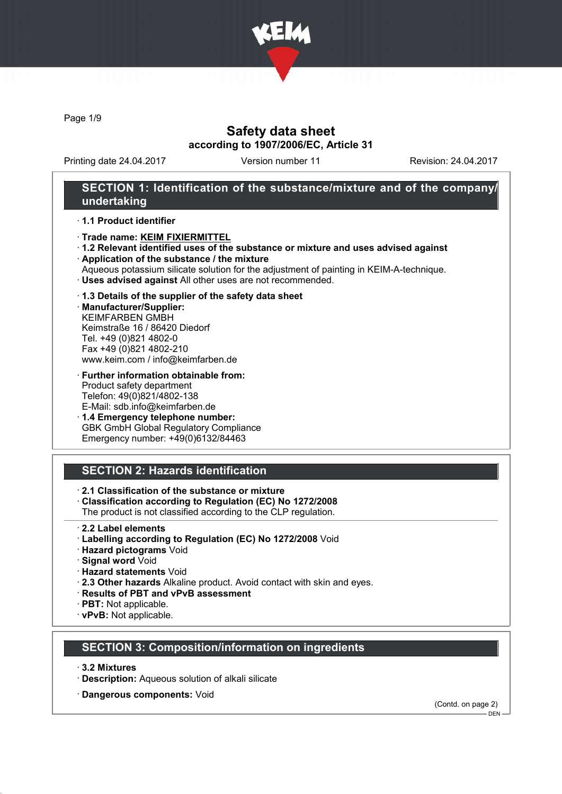

Page 1/9

## Safety data sheet according to 1907/2006/EC, Article 31

Printing date 24.04.2017 Version number 11 Revision: 24.04.2017

## SECTION 1: Identification of the substance/mixture and of the company/ undertaking

### · 1.1 Product identifier

- · Trade name: KEIM FIXIERMITTEL
- · 1.2 Relevant identified uses of the substance or mixture and uses advised against
- · Application of the substance / the mixture
- Aqueous potassium silicate solution for the adjustment of painting in KEIM-A-technique.
- · Uses advised against All other uses are not recommended.

### · 1.3 Details of the supplier of the safety data sheet

· Manufacturer/Supplier: KEIMFARBEN GMBH Keimstraße 16 / 86420 Diedorf Tel. +49 (0)821 4802-0 Fax +49 (0)821 4802-210 www.keim.com / info@keimfarben.de

· Further information obtainable from: Product safety department Telefon: 49(0)821/4802-138 E-Mail: sdb.info@keimfarben.de

· 1.4 Emergency telephone number: GBK GmbH Global Regulatory Compliance Emergency number: +49(0)6132/84463

## SECTION 2: Hazards identification

· 2.1 Classification of the substance or mixture

- · Classification according to Regulation (EC) No 1272/2008
- The product is not classified according to the CLP regulation.
- · 2.2 Label elements
- · Labelling according to Regulation (EC) No 1272/2008 Void
- · Hazard pictograms Void
- · Signal word Void
- · Hazard statements Void
- · 2.3 Other hazards Alkaline product. Avoid contact with skin and eyes.
- · Results of PBT and vPvB assessment
- · PBT: Not applicable.
- · vPvB: Not applicable.

# SECTION 3: Composition/information on ingredients

- · 3.2 Mixtures
- · Description: Aqueous solution of alkali silicate
- · Dangerous components: Void

(Contd. on page 2)

 $-$  DEN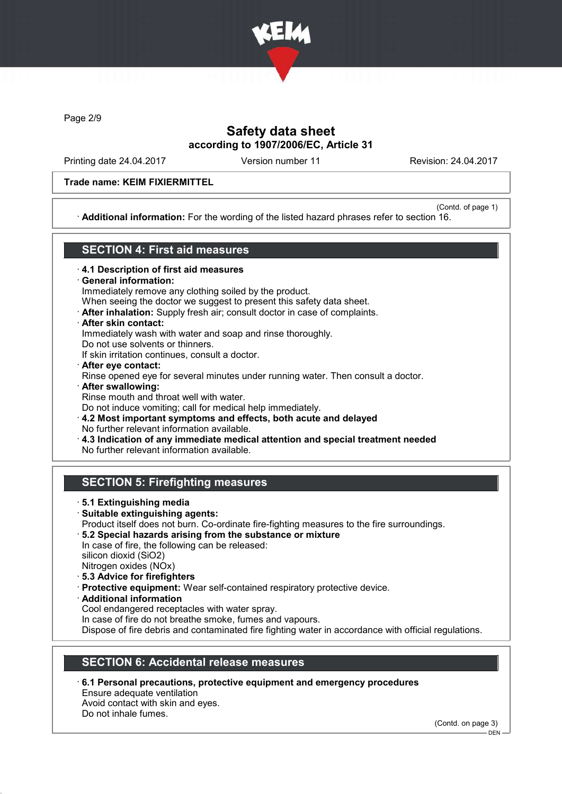

Page 2/9

# Safety data sheet according to 1907/2006/EC, Article 31

Printing date 24.04.2017 Version number 11 Revision: 24.04.2017

### Trade name: KEIM FIXIERMITTEL

(Contd. of page 1) · Additional information: For the wording of the listed hazard phrases refer to section 16.

## SECTION 4: First aid measures

- · 4.1 Description of first aid measures
- · General information:
- Immediately remove any clothing soiled by the product.
- When seeing the doctor we suggest to present this safety data sheet.
- · After inhalation: Supply fresh air; consult doctor in case of complaints.
- · After skin contact:
- Immediately wash with water and soap and rinse thoroughly.
- Do not use solvents or thinners.
- If skin irritation continues, consult a doctor.
- · After eye contact: Rinse opened eye for several minutes under running water. Then consult a doctor. · After swallowing:
- Rinse mouth and throat well with water. Do not induce vomiting; call for medical help immediately.
- · 4.2 Most important symptoms and effects, both acute and delayed No further relevant information available.
- · 4.3 Indication of any immediate medical attention and special treatment needed
- No further relevant information available.

# SECTION 5: Firefighting measures

- · 5.1 Extinguishing media
- · Suitable extinguishing agents: Product itself does not burn. Co-ordinate fire-fighting measures to the fire surroundings.
- · 5.2 Special hazards arising from the substance or mixture In case of fire, the following can be released:
- silicon dioxid (SiO2)
- Nitrogen oxides (NOx)
- · 5.3 Advice for firefighters
- · Protective equipment: Wear self-contained respiratory protective device.
- · Additional information
- Cool endangered receptacles with water spray.
- In case of fire do not breathe smoke, fumes and vapours.

Dispose of fire debris and contaminated fire fighting water in accordance with official regulations.

# SECTION 6: Accidental release measures

· 6.1 Personal precautions, protective equipment and emergency procedures Ensure adequate ventilation Avoid contact with skin and eyes.

Do not inhale fumes.

(Contd. on page 3)

DEN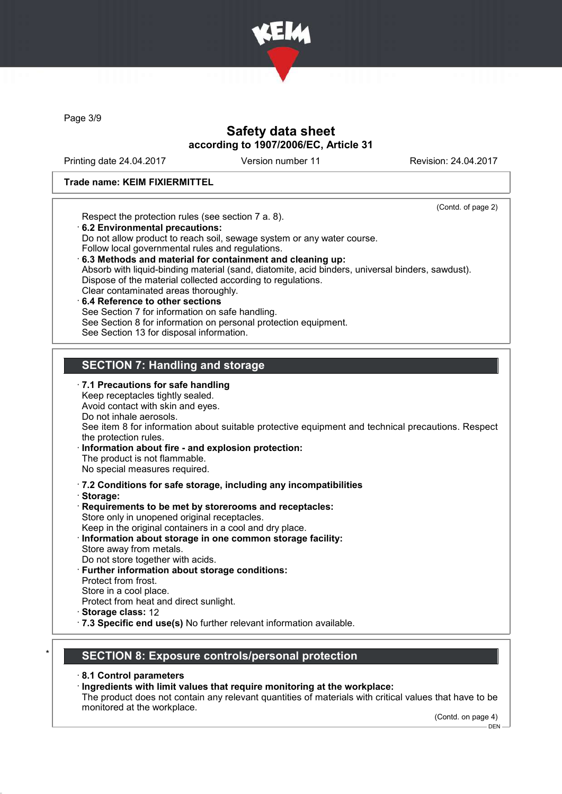

Page 3/9

## Safety data sheet according to 1907/2006/EC, Article 31

Printing date 24.04.2017 Version number 11 Revision: 24.04.2017

#### Trade name: KEIM FIXIERMITTEL

(Contd. of page 2) Respect the protection rules (see section 7 a. 8). · 6.2 Environmental precautions: Do not allow product to reach soil, sewage system or any water course. Follow local governmental rules and regulations. · 6.3 Methods and material for containment and cleaning up: Absorb with liquid-binding material (sand, diatomite, acid binders, universal binders, sawdust). Dispose of the material collected according to regulations. Clear contaminated areas thoroughly. 6.4 Reference to other sections See Section 7 for information on safe handling. See Section 8 for information on personal protection equipment. See Section 13 for disposal information. SECTION 7: Handling and storage · 7.1 Precautions for safe handling Keep receptacles tightly sealed. Avoid contact with skin and eyes. Do not inhale aerosols. See item 8 for information about suitable protective equipment and technical precautions. Respect the protection rules. Information about fire - and explosion protection: The product is not flammable. No special measures required. · 7.2 Conditions for safe storage, including any incompatibilities · Storage: · Requirements to be met by storerooms and receptacles: Store only in unopened original receptacles. Keep in the original containers in a cool and dry place. · Information about storage in one common storage facility: Store away from metals. Do not store together with acids. · Further information about storage conditions: Protect from frost. Store in a cool place. Protect from heat and direct sunlight. · Storage class: 12 · 7.3 Specific end use(s) No further relevant information available.

## SECTION 8: Exposure controls/personal protection

· 8.1 Control parameters

· Ingredients with limit values that require monitoring at the workplace:

The product does not contain any relevant quantities of materials with critical values that have to be monitored at the workplace.

(Contd. on page 4)

 $-$  DEN -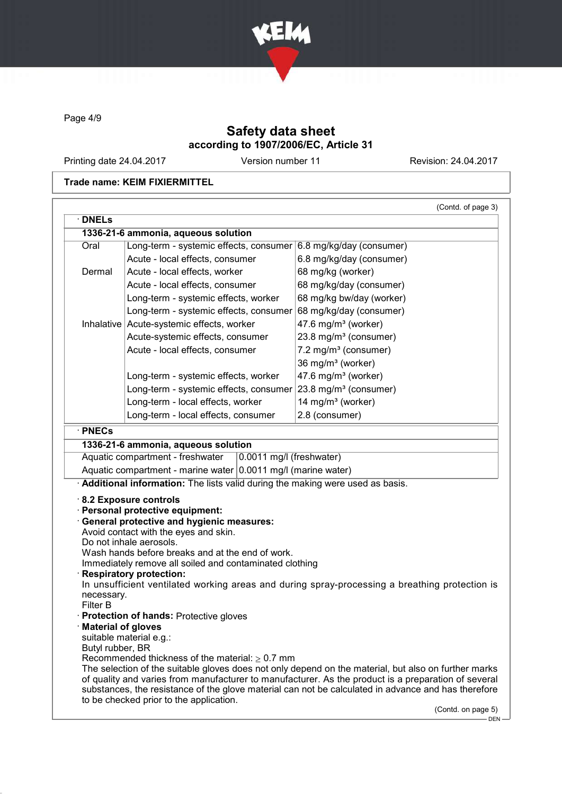

Page 4/9

# Safety data sheet according to 1907/2006/EC, Article 31

Printing date 24.04.2017 Version number 11 Revision: 24.04.2017

### Trade name: KEIM FIXIERMITTEL

|                           | 1336-21-6 ammonia, aqueous solution                                                                                                                                                                                                                                                                       |                                                                                                                                                                                                                                                                                                                    |
|---------------------------|-----------------------------------------------------------------------------------------------------------------------------------------------------------------------------------------------------------------------------------------------------------------------------------------------------------|--------------------------------------------------------------------------------------------------------------------------------------------------------------------------------------------------------------------------------------------------------------------------------------------------------------------|
| Oral                      | Long-term - systemic effects, consumer $6.8$ mg/kg/day (consumer)                                                                                                                                                                                                                                         |                                                                                                                                                                                                                                                                                                                    |
|                           | Acute - local effects, consumer                                                                                                                                                                                                                                                                           | 6.8 mg/kg/day (consumer)                                                                                                                                                                                                                                                                                           |
| Dermal                    | Acute - local effects, worker                                                                                                                                                                                                                                                                             | 68 mg/kg (worker)                                                                                                                                                                                                                                                                                                  |
|                           | Acute - local effects, consumer                                                                                                                                                                                                                                                                           | 68 mg/kg/day (consumer)                                                                                                                                                                                                                                                                                            |
|                           | Long-term - systemic effects, worker                                                                                                                                                                                                                                                                      | 68 mg/kg bw/day (worker)                                                                                                                                                                                                                                                                                           |
|                           | Long-term - systemic effects, consumer                                                                                                                                                                                                                                                                    | 68 mg/kg/day (consumer)                                                                                                                                                                                                                                                                                            |
|                           | Inhalative   Acute-systemic effects, worker                                                                                                                                                                                                                                                               | 47.6 mg/m <sup>3</sup> (worker)                                                                                                                                                                                                                                                                                    |
|                           | Acute-systemic effects, consumer                                                                                                                                                                                                                                                                          | 23.8 mg/m <sup>3</sup> (consumer)                                                                                                                                                                                                                                                                                  |
|                           | Acute - local effects, consumer                                                                                                                                                                                                                                                                           | 7.2 mg/m <sup>3</sup> (consumer)                                                                                                                                                                                                                                                                                   |
|                           |                                                                                                                                                                                                                                                                                                           | 36 mg/m <sup>3</sup> (worker)                                                                                                                                                                                                                                                                                      |
|                           | Long-term - systemic effects, worker                                                                                                                                                                                                                                                                      | 47.6 mg/m <sup>3</sup> (worker)                                                                                                                                                                                                                                                                                    |
|                           | Long-term - systemic effects, consumer                                                                                                                                                                                                                                                                    | 23.8 mg/m <sup>3</sup> (consumer)                                                                                                                                                                                                                                                                                  |
|                           | Long-term - local effects, worker                                                                                                                                                                                                                                                                         | 14 mg/m <sup>3</sup> (worker)                                                                                                                                                                                                                                                                                      |
|                           | Long-term - local effects, consumer                                                                                                                                                                                                                                                                       | 2.8 (consumer)                                                                                                                                                                                                                                                                                                     |
|                           | Aquatic compartment - marine water 0.0011 mg/l (marine water)                                                                                                                                                                                                                                             |                                                                                                                                                                                                                                                                                                                    |
|                           | Additional information: The lists valid during the making were used as basis.<br>8.2 Exposure controls                                                                                                                                                                                                    |                                                                                                                                                                                                                                                                                                                    |
| necessary.                | · Personal protective equipment:<br><b>General protective and hygienic measures:</b><br>Avoid contact with the eyes and skin.<br>Do not inhale aerosols.<br>Wash hands before breaks and at the end of work.<br>Immediately remove all soiled and contaminated clothing<br><b>Respiratory protection:</b> | In unsufficient ventilated working areas and during spray-processing a breathing protection is                                                                                                                                                                                                                     |
| Filter B                  |                                                                                                                                                                                                                                                                                                           |                                                                                                                                                                                                                                                                                                                    |
|                           | · Protection of hands: Protective gloves                                                                                                                                                                                                                                                                  |                                                                                                                                                                                                                                                                                                                    |
| <b>Material of gloves</b> | suitable material e.g.:                                                                                                                                                                                                                                                                                   |                                                                                                                                                                                                                                                                                                                    |
| Butyl rubber, BR          |                                                                                                                                                                                                                                                                                                           |                                                                                                                                                                                                                                                                                                                    |
|                           | Recommended thickness of the material: $\geq 0.7$ mm<br>to be checked prior to the application.                                                                                                                                                                                                           | The selection of the suitable gloves does not only depend on the material, but also on further marks<br>of quality and varies from manufacturer to manufacturer. As the product is a preparation of several<br>substances, the resistance of the glove material can not be calculated in advance and has therefore |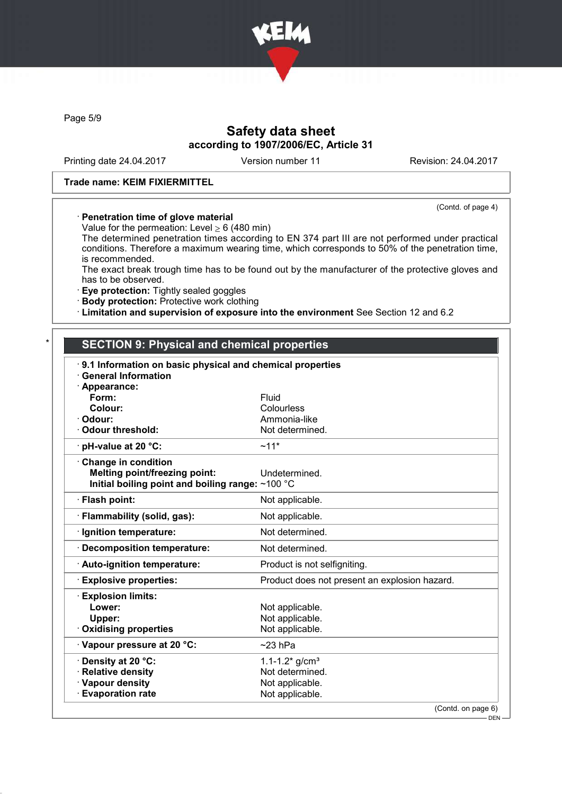

Page 5/9

# Safety data sheet according to 1907/2006/EC, Article 31

Printing date 24.04.2017 Version number 11 Revision: 24.04.2017

(Contd. of page 4)

### Trade name: KEIM FIXIERMITTEL

#### · Penetration time of glove material

Value for the permeation: Level  $\geq 6$  (480 min)

The determined penetration times according to EN 374 part III are not performed under practical conditions. Therefore a maximum wearing time, which corresponds to 50% of the penetration time, is recommended.

The exact break trough time has to be found out by the manufacturer of the protective gloves and has to be observed.

· Eye protection: Tightly sealed goggles

· Body protection: Protective work clothing

· Limitation and supervision of exposure into the environment See Section 12 and 6.2

## SECTION 9: Physical and chemical properties

| 9.1 Information on basic physical and chemical properties<br><b>General Information</b> |                                               |
|-----------------------------------------------------------------------------------------|-----------------------------------------------|
| · Appearance:                                                                           |                                               |
| Form:                                                                                   | Fluid                                         |
| Colour:                                                                                 | Colourless                                    |
| · Odour:                                                                                | Ammonia-like                                  |
| Odour threshold:                                                                        | Not determined.                               |
| $\cdot$ pH-value at 20 °C:                                                              | $~11*$                                        |
| Change in condition                                                                     |                                               |
| <b>Melting point/freezing point:</b>                                                    | Undetermined.                                 |
| Initial boiling point and boiling range: $\sim$ 100 °C                                  |                                               |
| · Flash point:                                                                          | Not applicable.                               |
| · Flammability (solid, gas):                                                            | Not applicable.                               |
| · Ignition temperature:                                                                 | Not determined.                               |
| · Decomposition temperature:                                                            | Not determined.                               |
| · Auto-ignition temperature:                                                            | Product is not selfigniting.                  |
| <b>Explosive properties:</b>                                                            | Product does not present an explosion hazard. |
| <b>Explosion limits:</b>                                                                |                                               |
| Lower:                                                                                  | Not applicable.                               |
| Upper:                                                                                  | Not applicable.                               |
| Oxidising properties                                                                    | Not applicable.                               |
| Vapour pressure at 20 °C:                                                               | $~23$ hPa                                     |
| · Density at 20 °C:                                                                     | 1.1-1.2* $g/cm^{3}$                           |
| · Relative density                                                                      | Not determined.                               |
| · Vapour density                                                                        | Not applicable.                               |
| <b>Evaporation rate</b>                                                                 | Not applicable.                               |
|                                                                                         | (Contd. on page 6)                            |

DEN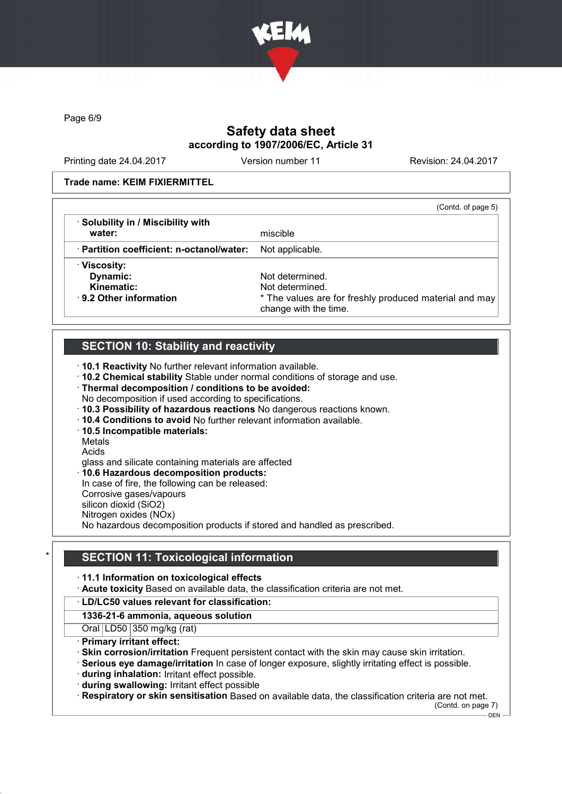

Page 6/9

# Safety data sheet according to 1907/2006/EC, Article 31

Printing date 24.04.2017 Version number 11 Revision: 24.04.2017

#### Trade name: KEIM FIXIERMITTEL

|                                           | (Contd. of page 5)                                                              |
|-------------------------------------------|---------------------------------------------------------------------------------|
| · Solubility in / Miscibility with        |                                                                                 |
| water:                                    | miscible                                                                        |
| · Partition coefficient: n-octanol/water: | Not applicable.                                                                 |
| · Viscosity:                              |                                                                                 |
| Dynamic:                                  | Not determined.                                                                 |
| Kinematic:                                | Not determined.                                                                 |
| ⋅ 9.2 Other information                   | * The values are for freshly produced material and may<br>change with the time. |

# SECTION 10: Stability and reactivity

· 10.1 Reactivity No further relevant information available.

· 10.2 Chemical stability Stable under normal conditions of storage and use.

- · Thermal decomposition / conditions to be avoided:
- No decomposition if used according to specifications.
- · 10.3 Possibility of hazardous reactions No dangerous reactions known.
- · 10.4 Conditions to avoid No further relevant information available.
- · 10.5 Incompatible materials:

Metals

Acids

glass and silicate containing materials are affected

· 10.6 Hazardous decomposition products:

In case of fire, the following can be released:

Corrosive gases/vapours silicon dioxid (SiO2)

Nitrogen oxides (NOx)

No hazardous decomposition products if stored and handled as prescribed.

## **SECTION 11: Toxicological information**

· 11.1 Information on toxicological effects

· Acute toxicity Based on available data, the classification criteria are not met.

#### · LD/LC50 values relevant for classification:

1336-21-6 ammonia, aqueous solution

Oral LD50 350 mg/kg (rat)

· Primary irritant effect:

· Skin corrosion/irritation Frequent persistent contact with the skin may cause skin irritation.

· Serious eye damage/irritation In case of longer exposure, slightly irritating effect is possible.

· during inhalation: Irritant effect possible.

· during swallowing: Irritant effect possible

· Respiratory or skin sensitisation Based on available data, the classification criteria are not met.

(Contd. on page 7)

 $-$  DEN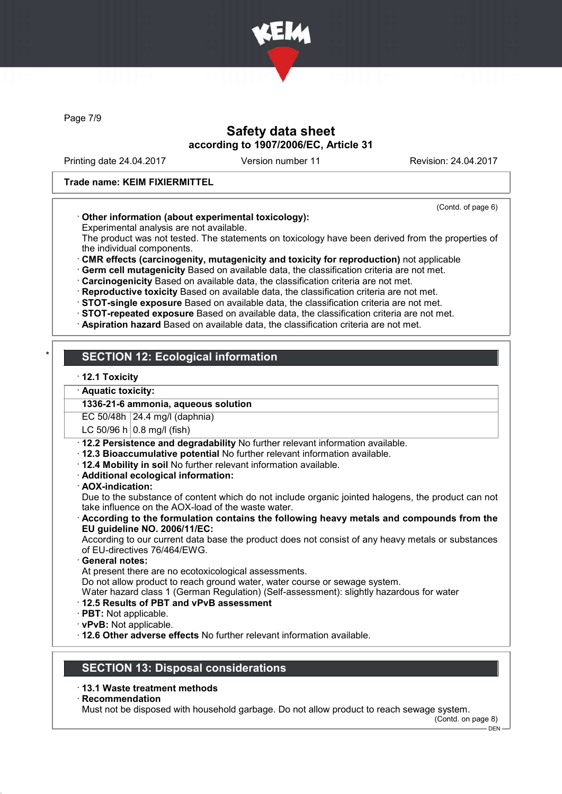

Page 7/9

## Safety data sheet according to 1907/2006/EC, Article 31

Printing date 24.04.2017 Version number 11 Revision: 24.04.2017

### Trade name: KEIM FIXIERMITTEL

#### (Contd. of page 6)

### · Other information (about experimental toxicology):

Experimental analysis are not available.

The product was not tested. The statements on toxicology have been derived from the properties of the individual components.

· CMR effects (carcinogenity, mutagenicity and toxicity for reproduction) not applicable

· Germ cell mutagenicity Based on available data, the classification criteria are not met.

· Carcinogenicity Based on available data, the classification criteria are not met.

- · Reproductive toxicity Based on available data, the classification criteria are not met.
- · STOT-single exposure Based on available data, the classification criteria are not met.
- · STOT-repeated exposure Based on available data, the classification criteria are not met.
- · Aspiration hazard Based on available data, the classification criteria are not met.

# **SECTION 12: Ecological information**

· 12.1 Toxicity

### · Aquatic toxicity:

### 1336-21-6 ammonia, aqueous solution

EC 50/48h 24.4 mg/l (daphnia)

LC 50/96 h  $\vert$  0.8 mg/l (fish)

- · 12.2 Persistence and degradability No further relevant information available.
- · 12.3 Bioaccumulative potential No further relevant information available.
- · 12.4 Mobility in soil No further relevant information available.
- · Additional ecological information:
- · AOX-indication:

Due to the substance of content which do not include organic jointed halogens, the product can not take influence on the AOX-load of the waste water.

· According to the formulation contains the following heavy metals and compounds from the EU guideline NO. 2006/11/EC:

According to our current data base the product does not consist of any heavy metals or substances of EU-directives 76/464/EWG.

General notes:

At present there are no ecotoxicological assessments.

Do not allow product to reach ground water, water course or sewage system.

Water hazard class 1 (German Regulation) (Self-assessment): slightly hazardous for water

### · 12.5 Results of PBT and vPvB assessment

- · PBT: Not applicable.
- · vPvB: Not applicable.
- · 12.6 Other adverse effects No further relevant information available.

# SECTION 13: Disposal considerations

### · 13.1 Waste treatment methods

**Recommendation** 

Must not be disposed with household garbage. Do not allow product to reach sewage system.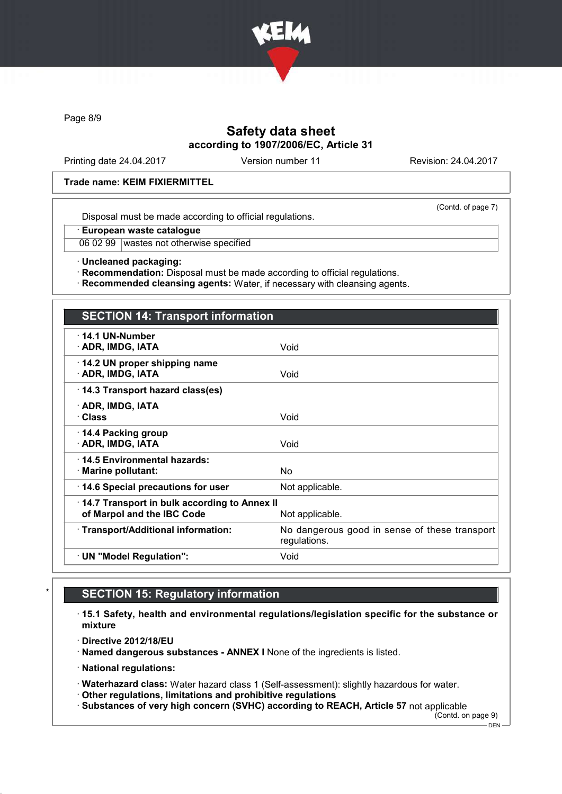

Page 8/9

# Safety data sheet according to 1907/2006/EC, Article 31

Printing date 24.04.2017 Version number 11 Revision: 24.04.2017

### Trade name: KEIM FIXIERMITTEL

(Contd. of page 7)

Disposal must be made according to official regulations.

· European waste catalogue

06 02 99 wastes not otherwise specified

· Uncleaned packaging:

· Recommendation: Disposal must be made according to official regulations.

· Recommended cleansing agents: Water, if necessary with cleansing agents.

# SECTION 14: Transport information · 14.1 UN-Number · ADR, IMDG, IATA Void · 14.2 UN proper shipping name · ADR, IMDG, IATA Void · 14.3 Transport hazard class(es) · ADR, IMDG, IATA · Class Void · 14.4 Packing group · ADR, IMDG, IATA Void · 14.5 Environmental hazards: · Marine pollutant: No  $\cdot$  14.6 Special precautions for user Not applicable. · 14.7 Transport in bulk according to Annex II of Marpol and the IBC Code Not applicable. · Transport/Additional information: No dangerous good in sense of these transport regulations. · UN "Model Regulation": Void

# **SECTION 15: Regulatory information**

- · 15.1 Safety, health and environmental regulations/legislation specific for the substance or mixture
- · Directive 2012/18/EU
- · Named dangerous substances ANNEX I None of the ingredients is listed.
- · National regulations:
- · Waterhazard class: Water hazard class 1 (Self-assessment): slightly hazardous for water.
- · Other regulations, limitations and prohibitive regulations

· Substances of very high concern (SVHC) according to REACH, Article 57 not applicable

(Contd. on page 9)